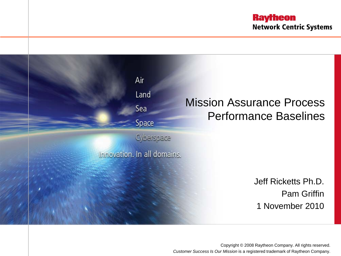**Raytheon Network Centric Systems** 



Copyright © 2008 Raytheon Company. All rights reserved. *Customer Success Is Our Mission* is a registered trademark of Raytheon Company.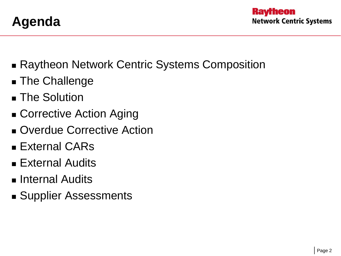

- Raytheon Network Centric Systems Composition
- **The Challenge**
- **The Solution**
- Corrective Action Aging
- **D** Overdue Corrective Action
- External CARs
- External Audits
- **Internal Audits**
- Supplier Assessments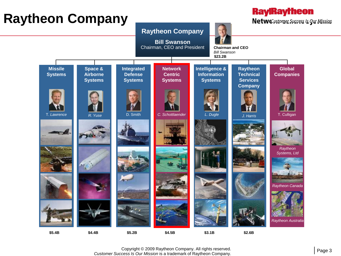### **Raytheon Company**





Copyright © 2009 Raytheon Company. All rights reserved. *Customer Success Is Our Mission* is a trademark of Raytheon Company.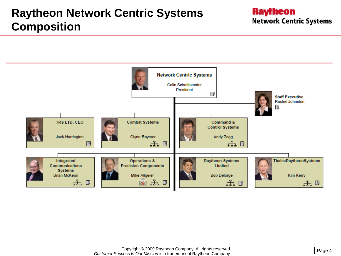

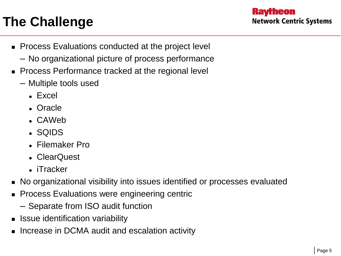## **The Challenge**

- **Process Evaluations conducted at the project level** 
	- No organizational picture of process performance
- **Process Performance tracked at the regional level** 
	- Multiple tools used
		- Excel
		- Oracle
		- CAWeb
		- SQIDS
		- Filemaker Pro
		- ClearQuest
		- iTracker
- No organizational visibility into issues identified or processes evaluated
- **Process Evaluations were engineering centric** 
	- Separate from ISO audit function
- **Ionally** Issue identification variability
- Increase in DCMA audit and escalation activity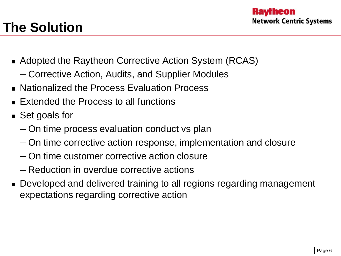# **The Solution**

- Adopted the Raytheon Corrective Action System (RCAS)
	- Corrective Action, Audits, and Supplier Modules
- Nationalized the Process Evaluation Process
- Extended the Process to all functions
- Set goals for
	- On time process evaluation conduct vs plan
	- On time corrective action response, implementation and closure
	- On time customer corrective action closure
	- Reduction in overdue corrective actions
- **Developed and delivered training to all regions regarding management** expectations regarding corrective action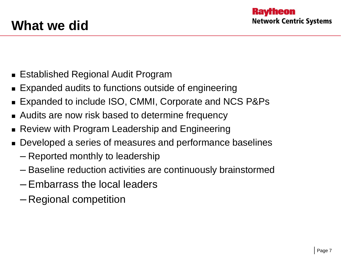- Established Regional Audit Program
- Expanded audits to functions outside of engineering
- Expanded to include ISO, CMMI, Corporate and NCS P&Ps
- Audits are now risk based to determine frequency
- Review with Program Leadership and Engineering
- **Developed a series of measures and performance baselines** 
	- Reported monthly to leadership
	- Baseline reduction activities are continuously brainstormed
	- Embarrass the local leaders
	- Regional competition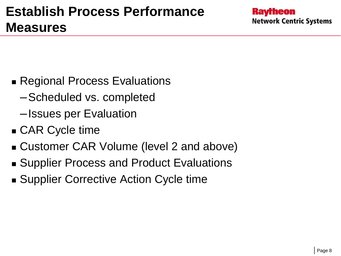- Regional Process Evaluations
	- –Scheduled vs. completed
	- –Issues per Evaluation
- CAR Cycle time
- Customer CAR Volume (level 2 and above)
- Supplier Process and Product Evaluations
- Supplier Corrective Action Cycle time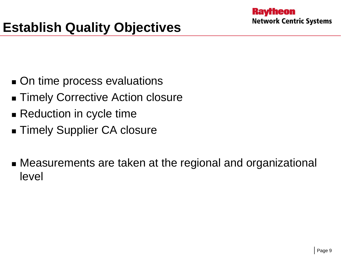- On time process evaluations
- **Timely Corrective Action closure**
- Reduction in cycle time
- Timely Supplier CA closure
- Measurements are taken at the regional and organizational level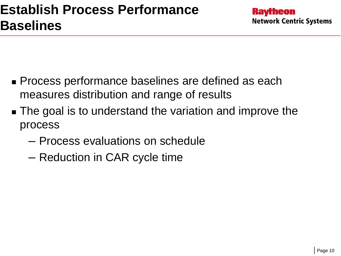- **Process performance baselines are defined as each** measures distribution and range of results
- **The goal is to understand the variation and improve the** process
	- Process evaluations on schedule
	- Reduction in CAR cycle time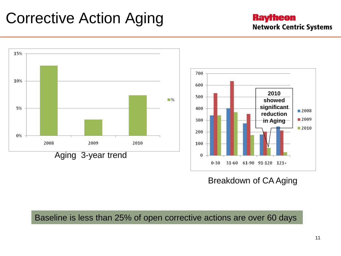# Corrective Action Aging

#### **Raytheon Network Centric Systems**



#### Breakdown of CA Aging

Baseline is less than 25% of open corrective actions are over 60 days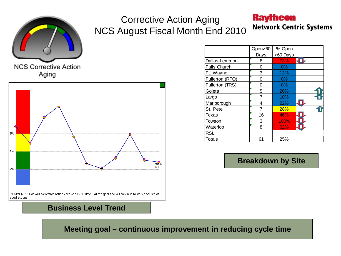

### Corrective Action Aging NCS August Fiscal Month End 2010

### **Raytheon**

**Network Centric Systems** 

Aging



|                     | Open>60 | % Open   |  |
|---------------------|---------|----------|--|
|                     | Days    | >60 Days |  |
| Dallas-Lemmon       | 8       | 73%      |  |
| <b>Falls Church</b> | 0       | $0\%$    |  |
| Ft. Wayne           | 3       | 13%      |  |
| Fullerton (RFO)     | 0       | 0%       |  |
| Fullerton (TRS)     | ი       | $0\%$    |  |
| Goleta              | 5       | 20%      |  |
| Largo               |         | 10%      |  |
| Marlborough         | 4       | 22%      |  |
| St. Pete            |         | 28%      |  |
| Texas               | 16      | 46%      |  |
| Towson              | 3       | 100%     |  |
| Waterloo            | 8       | 62%      |  |
| <b>RSL</b>          |         |          |  |
| <b>Totals</b>       | 61      | 25%      |  |

**Breakdown by Site**

**Business Level Trend**

**Meeting goal – continuous improvement in reducing cycle time**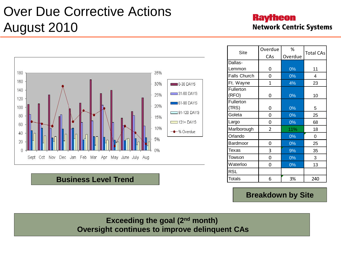## Over Due Corrective Actions August 2010

### **Raytheon Network Centric Systems**



#### **Business Level Trend**

| Site                | Overdue | ℅       | <b>Total CAs</b> |  |  |
|---------------------|---------|---------|------------------|--|--|
|                     | CAs     | Overdue |                  |  |  |
| Dallas-             |         |         |                  |  |  |
| Lemmon              | 0       | 0%      | 11               |  |  |
| <b>Falls Church</b> | 0       | 0%      | 4                |  |  |
| Ft. Wayne           | 1       | 4%      | 23               |  |  |
| Fullerton           |         |         |                  |  |  |
| (RFO)               | 0       | 0%      | 10               |  |  |
| Fullerton           |         |         |                  |  |  |
| (TRS)               | 0       | 0%      | 5                |  |  |
| Goleta              | 0       | 0%      | 25               |  |  |
| Largo               | 0       | 0%      | 68               |  |  |
| Marlborough         | 2       | 11%     | 18               |  |  |
| Orlando             |         | 0%      | 0                |  |  |
| Bardmoor            | 0       | 0%      | 25               |  |  |
| Texas               | 3       | 9%      | 35               |  |  |
| Towson              | 0       | 0%      | 3                |  |  |
| Waterloo            | 0       | 0%      | 13               |  |  |
| RSL                 |         |         |                  |  |  |
| Totals              | 6       | 3%      | 240              |  |  |

#### **Breakdown by Site**

**Exceeding the goal (2nd month) Oversight continues to improve delinquent CAs**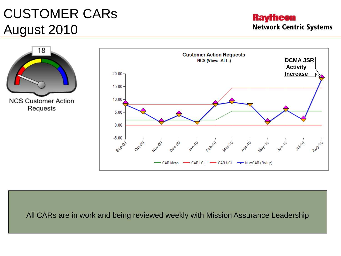## CUSTOMER CARs August 2010

**Raytheon Network Centric Systems** 



All CARs are in work and being reviewed weekly with Mission Assurance Leadership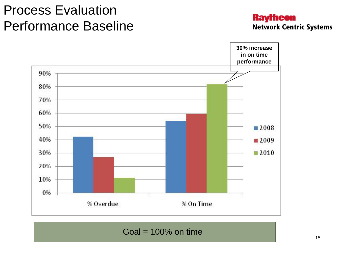## Process Evaluation Performance Baseline

#### **Raytheon Network Centric Systems**



 $Goal = 100\%$  on time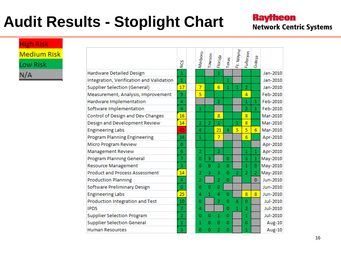# **Audit Results - Stoplight Chart**

### **Raytheon Network Centric Systems**

**High Risk Medium Risk** Low Risk  $N/A$ 

|                                          | χΩ             | Marboro        | Towson         | Florida        | Texas          | Ft. Wayne      | Fullerton      | Goleta         |                 |
|------------------------------------------|----------------|----------------|----------------|----------------|----------------|----------------|----------------|----------------|-----------------|
| Hardware Detailed Design                 | 1              |                |                | $\mathbf{1}$   |                |                |                |                | Jan-2010        |
| Integration, Verification and Validation | $\mathbf{1}$   |                |                |                | $\mathbf{1}$   |                |                |                | Jan-2010        |
| <b>Supplier Selection (General)</b>      | 17             | $\overline{7}$ |                | 6              | $\mathbf{1}$   | 1              | $\overline{2}$ |                | Jan-2010        |
| Measurement, Analysis, Improvement       | 9              | 5              |                |                |                |                | $\overline{a}$ |                | Feb-2010        |
| Hardware Implementation                  | 4              |                |                | $\overline{2}$ |                |                | 1              | $\mathbf{1}$   | Feb-2010        |
| Software Implementation                  | 4              | 1              |                |                |                |                | $\overline{2}$ | $\mathbf{1}$   | Feb-2010        |
| Control of Design and Dev Changes        | 16             |                |                | 8              |                |                | 8              |                | Mar-2010        |
| Design and Development Review            | 14             | $\overline{2}$ | $\overline{2}$ | $\mathbf{1}$   |                | 1              | 8              |                | Mar-2010        |
| <b>Engineering Labs</b>                  | 45             | 4              |                | 21             | 4              | 5              | 5              | 6              | Mar-2010        |
| Program Planning Engineering             | 14             | 1              |                | $\overline{7}$ |                |                | 6              |                | Apr-2010        |
| Micro Program Review                     | 0              |                |                |                |                |                |                |                | Apr-2010        |
| <b>Management Review</b>                 | 6              | $\overline{2}$ |                | $\overline{2}$ |                |                | 1              | 1              | Apr-2010        |
| <b>Program Planning General</b>          | 7              | 0              | 3              |                | 0              |                | 3              | 1              | May-2010        |
| <b>Resource Management</b>               | 3              | 0              | o              | $\overline{2}$ | 0              |                | 1              | 0              | May-2010        |
| <b>Product and Process Assessment</b>    | 14             | 2              | 3              | 3              | 0              | $\overline{2}$ | $\overline{2}$ | $\overline{2}$ | May-2010        |
| <b>Production Planning</b>               | 4              | 2              |                | $\overline{2}$ | 0              |                |                | $\bf{0}$       | Jun-2010        |
| Software Preliminary Design              | 0              | 0              | 0              | 0              |                |                |                |                | Jun-2010        |
| <b>Engineering Labs</b>                  | 25             | 4              | 1              | 4              | 0              |                | 8              | 8              | Jun-2010        |
| Production Integration and Test          | 10             | 0              |                | 2              | $\overline{0}$ | 8              | o              |                | Jul-2010        |
| <b>IPDS</b>                              | $\overline{7}$ | 4              |                |                | Ō              | $\mathbf{1}$   | $\overline{2}$ |                | <b>Jul-2010</b> |
| <b>Supplier Selection Program</b>        | $\overline{2}$ | 0              | Ω              | $\mathbf{1}$   | 0              |                | 1              |                | Jul-2010        |
| <b>Supplier Selection General</b>        | 1              | 1              | n              | 0              | 0              |                | 0              |                | Aug-10          |
| <b>Human Resources</b>                   | 3              | 0              | 0              | $\overline{2}$ | 0              |                | 1              |                | Aug-10          |
|                                          |                |                |                |                |                |                |                |                |                 |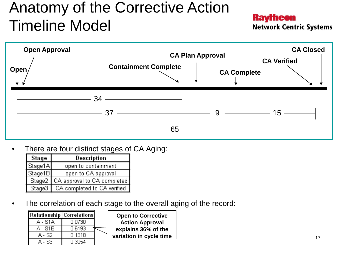# Anatomy of the Corrective Action Timeline Model

**Raytheon** 

**Network Centric Systems** 



There are four distinct stages of CA Aging:

| Stage   | Description                          |
|---------|--------------------------------------|
| Stage1A | open to containment                  |
| Stage1B | open to CA approval                  |
|         | Stage2   CA approval to CA completed |
|         | Stage3   CA completed to CA verified |

The correlation of each stage to the overall aging of the record:

|         | Relationship   Correlations |  |
|---------|-----------------------------|--|
| A - S1A | 0.0730                      |  |
| A - S1B | 0.6193                      |  |
| - 82    | 0.1318                      |  |
|         | 0.3054                      |  |

**Open to Corrective Action Approval explains 36% of the variation in cycle time**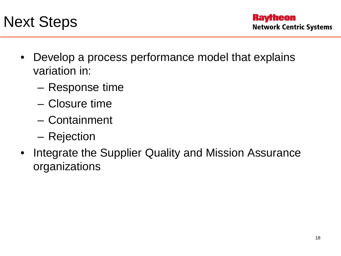

- Develop a process performance model that explains variation in:
	- Response time
	- Closure time
	- Containment
	- Rejection
- Integrate the Supplier Quality and Mission Assurance organizations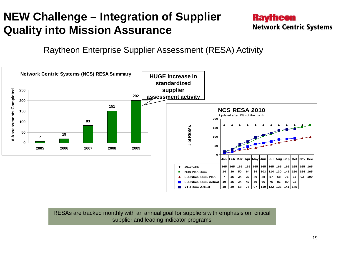### **NEW Challenge – Integration of Supplier Quality into Mission Assurance**

### **Raytheon Network Centric Systems**

Raytheon Enterprise Supplier Assessment (RESA) Activity



RESAs are tracked monthly with an annual goal for suppliers with emphasis on critical supplier and leading indicator programs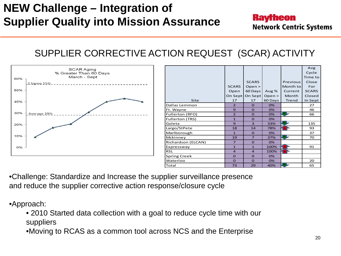### **NEW Challenge – Integration of Supplier Quality into Mission Assurance**

#### **Raytheon Network Centric Systems**

### SUPPLIER CORRECTIVE ACTION REQUEST (SCAR) ACTIVITY



|                     |                |                |         |              | Avg          |
|---------------------|----------------|----------------|---------|--------------|--------------|
|                     |                |                |         |              | Cycle        |
|                     |                |                |         |              | Time to      |
|                     |                | <b>SCARS</b>   |         | Previous     | Close        |
|                     | <b>SCARS</b>   | Open >         |         | Month to     | For          |
|                     | Open           | 60 Days        | Aug $%$ | Current      | <b>SCARS</b> |
|                     | On Sept        | On Sept        | Open >  | <b>Month</b> | Closed       |
| Site                | 17             | 17             | 60 Days | Trend        | In Sept      |
| Dallas Lemmon       | $\overline{2}$ | $\Omega$       | 0%      |              | 27           |
| Ft. Wayne           | $\mathbf{9}$   | $\Omega$       | 0%      |              | 46           |
| Fullerton (RFO)     | $\overline{2}$ | $\Omega$       | 0%      | lig F        | 66           |
| Fullerton (TRS)     | $\mathbf{1}$   | $\Omega$       | 0%      |              |              |
| Goleta              | $\mathbf{9}$   | 3              | 33%     | ua j         | 135          |
| Largo/StPete        | 18             | 14             | 78%     | - RT         | 93           |
| Marlborough         | $\mathbf{1}$   | $\Omega$       | 0%      |              | 37           |
| Mckinney            | 19             | $\overline{7}$ | 37%     | us j         | 70           |
| Richardson (ELCAN)  | $\overline{7}$ | $\Omega$       | 0%      |              |              |
| Expressway          | $\mathbf{1}$   | $\mathbf{1}$   | 100%    | <b>SR</b>    | 91           |
| <b>RSL</b>          | $\overline{a}$ | $\overline{a}$ | 100%    | ٦R           |              |
| <b>Spring Creek</b> | $\Omega$       | $\Omega$       | 0%      |              |              |
| Waterloo            | $\Omega$       | $\mathbf 0$    | 0%      |              | 20           |
| Total               | 73             | 29             | 40%     | us -         | 65           |
|                     |                |                |         |              |              |

•Challenge: Standardize and Increase the supplier surveillance presence and reduce the supplier corrective action response/closure cycle

•Approach:

• 2010 Started data collection with a goal to reduce cycle time with our suppliers

•Moving to RCAS as a common tool across NCS and the Enterprise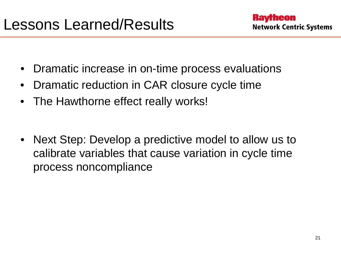- Dramatic increase in on-time process evaluations
- Dramatic reduction in CAR closure cycle time
- The Hawthorne effect really works!
- Next Step: Develop a predictive model to allow us to calibrate variables that cause variation in cycle time process noncompliance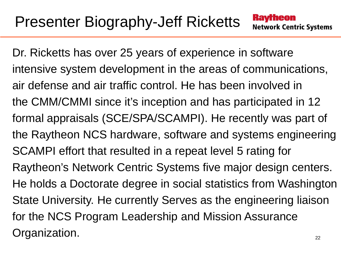Dr. Ricketts has over 25 years of experience in software intensive system development in the areas of communications, air defense and air traffic control. He has been involved in the CMM/CMMI since it's inception and has participated in 12 formal appraisals (SCE/SPA/SCAMPI). He recently was part of the Raytheon NCS hardware, software and systems engineering SCAMPI effort that resulted in a repeat level 5 rating for Raytheon's Network Centric Systems five major design centers. He holds a Doctorate degree in social statistics from Washington State University. He currently Serves as the engineering liaison for the NCS Program Leadership and Mission Assurance Organization.